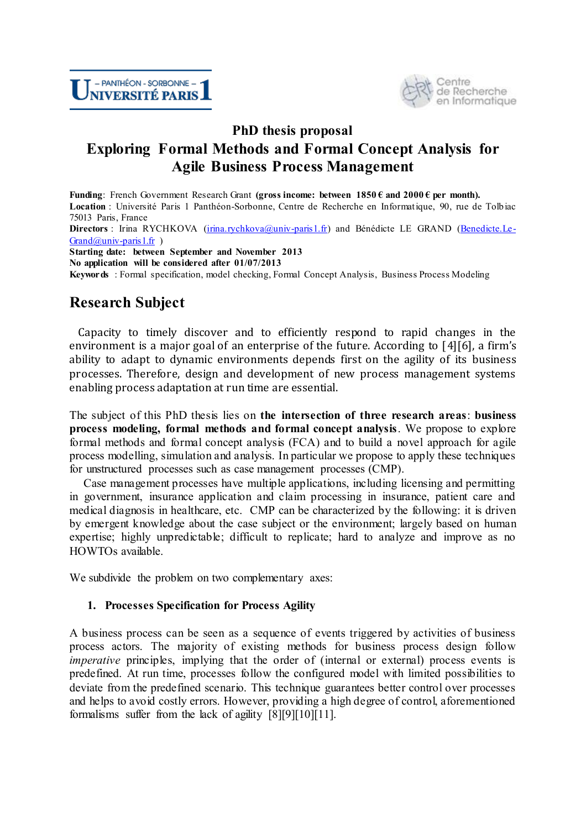

## **PhD thesis proposal Exploring Formal Methods and Formal Concept Analysis for Agile Business Process Management**

**Funding**: French Government Research Grant **(gross income: between 1850 € and 2000 € per month). Location** : Université Paris 1 Panthéon-Sorbonne, Centre de Recherche en Informatique, 90, rue de Tolbiac 75013 Paris, France **Directors** : Irina RYCHKOVA (*irina.rychkova@univ-paris1.fr*) and Bénédicte LE GRAND [\(Benedicte.Le-](mailto:Benedicte.Le-Grand@univ-paris1.fr) $Grand@univ-paris1.fr$ )

**Starting date: between September and November 2013 No application will be considered after 01/07/2013 Keywords** : Formal specification, model checking, Formal Concept Analysis, Business Process Modeling

# **Research Subject**

Capacity to timely discover and to efficiently respond to rapid changes in the environment is a major goal of an enterprise of the future. According to [\[4\]](#page-4-0)[\[6](#page-4-1)], a firm's ability to adapt to dynamic environments depends first on the agility of its business processes. Therefore, design and development of new process management systems enabling process adaptation at run time are essential.

The subject of this PhD thesis lies on **the intersection of three research areas**: **business process modeling, formal methods and formal concept analysis**. We propose to explore formal methods and formal concept analysis (FCA) and to build a novel approach for agile process modelling, simulation and analysis. In particular we propose to apply these techniques for unstructured processes such as case management processes (CMP).

Case management processes have multiple applications, including licensing and permitting in government, insurance application and claim processing in insurance, patient care and medical diagnosis in healthcare, etc. CMP can be characterized by the following: it is driven by emergent knowledge about the case subject or the environment; largely based on human expertise; highly unpredictable; difficult to replicate; hard to analyze and improve as no HOWTOs available.

We subdivide the problem on two complementary axes:

### **1. Processes Specification for Process Agility**

A business process can be seen as a sequence of events triggered by activities of business process actors. The majority of existing methods for business process design follow *imperative* principles, implying that the order of (internal or external) process events is predefined. At run time, processes follow the configured model with limited possibilities to deviate from the predefined scenario. This technique guarantees better control over processes and helps to avoid costly errors. However, providing a high degree of control, aforementioned formalisms suffer from the lack of agility [\[8\]](#page-4-2)[\[9\]](#page-4-3)[\[10\]](#page-4-4)[\[11\].](#page-4-5)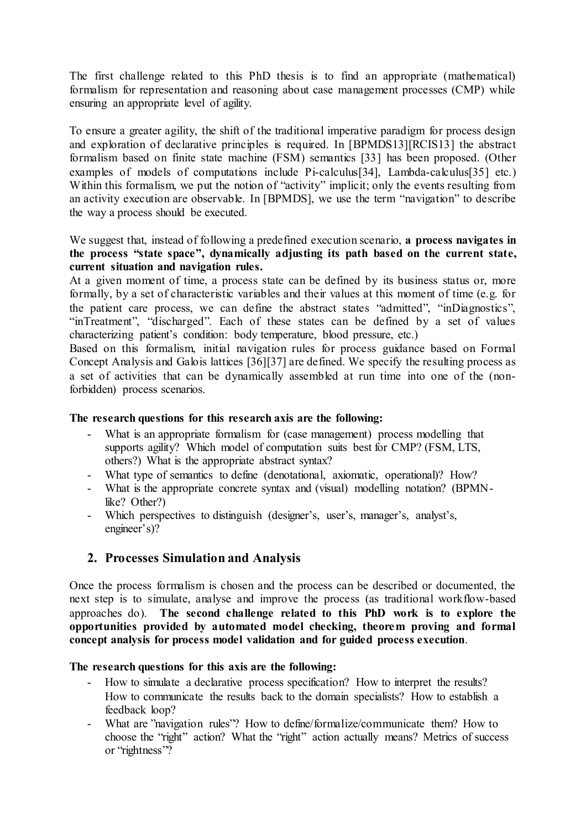The first challenge related to this PhD thesis is to find an appropriate (mathematical) formalism for representation and reasoning about case management processes (CMP) while ensuring an appropriate level of agility.

To ensure a greater agility, the shift of the traditional imperative paradigm for process design and exploration of declarative principles is required. In [BPMDS13][RCIS13] the abstract formalism based on finite state machine (FSM) semantics [\[33\]](#page-5-0) has been proposed. (Other examples of models of computations include Pi-calculus[\[34\]](#page-5-1), Lambda-calculus[\[35\]](#page-5-2) etc.) Within this formalism, we put the notion of "activity" implicit; only the events resulting from an activity execution are observable. In [BPMDS], we use the term "navigation" to describe the way a process should be executed.

We suggest that, instead of following a predefined execution scenario, **a process navigates in the process "state space", dynamically adjusting its path based on the current state, current situation and navigation rules.** 

At a given moment of time, a process state can be defined by its business status or, more formally, by a set of characteristic variables and their values at this moment of time (e.g. for the patient care process, we can define the abstract states "admitted", "inDiagnostics", "inTreatment", "discharged". Each of these states can be defined by a set of values characterizing patient's condition: body temperature, blood pressure, etc.)

Based on this formalism, initial navigation rules for process guidance based on Formal Concept Analysis and Galois lattices [\[36\]](#page-5-3)[\[37\]](#page-5-4) are defined. We specify the resulting process as a set of activities that can be dynamically assembled at run time into one of the (nonforbidden) process scenarios.

#### **The research questions for this research axis are the following:**

- What is an appropriate formalism for (case management) process modelling that supports agility? Which model of computation suits best for CMP? (FSM, LTS, others?) What is the appropriate abstract syntax?
- What type of semantics to define (denotational, axiomatic, operational)? How?
- What is the appropriate concrete syntax and (visual) modelling notation? (BPMNlike? Other?)
- Which perspectives to distinguish (designer's, user's, manager's, analyst's, engineer's)?

## **2. Processes Simulation and Analysis**

Once the process formalism is chosen and the process can be described or documented, the next step is to simulate, analyse and improve the process (as traditional workflow-based approaches do). **The second challenge related to this PhD work is to explore the opportunities provided by automated model checking, theorem proving and formal concept analysis for process model validation and for guided process execution**.

#### **The research questions for this axis are the following:**

- How to simulate a declarative process specification? How to interpret the results? How to communicate the results back to the domain specialists? How to establish a feedback loop?
- What are "navigation rules"? How to define/formalize/communicate them? How to choose the "right" action? What the "right" action actually means? Metrics of success or "rightness"?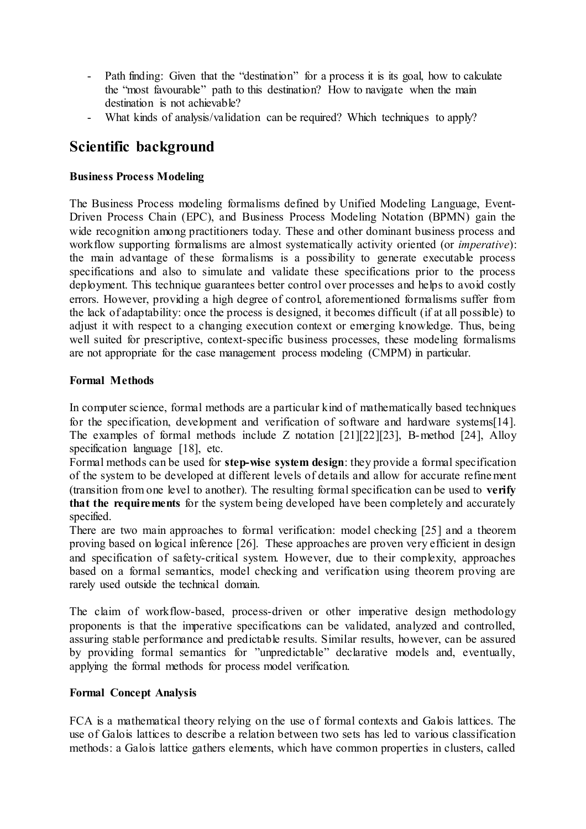- Path finding: Given that the "destination" for a process it is its goal, how to calculate the "most favourable" path to this destination? How to navigate when the main destination is not achievable?
- What kinds of analysis/validation can be required? Which techniques to apply?

## **Scientific background**

## **Business Process Modeling**

The Business Process modeling formalisms defined by Unified Modeling Language, Event-Driven Process Chain (EPC), and Business Process Modeling Notation (BPMN) gain the wide recognition among practitioners today. These and other dominant business process and workflow supporting formalisms are almost systematically activity oriented (or *imperative*): the main advantage of these formalisms is a possibility to generate executable process specifications and also to simulate and validate these specifications prior to the process deployment. This technique guarantees better control over processes and helps to avoid costly errors. However, providing a high degree of control, aforementioned formalisms suffer from the lack of adaptability: once the process is designed, it becomes difficult (if at all possible) to adjust it with respect to a changing execution context or emerging knowledge. Thus, being well suited for prescriptive, context-specific business processes, these modeling formalisms are not appropriate for the case management process modeling (CMPM) in particular.

## **Formal Methods**

In [computer science,](http://en.wikipedia.org/wiki/Computer_science) formal methods are a particular kind of [mathematically](http://en.wikipedia.org/wiki/Mathematically) based techniques for the [specification,](http://en.wikipedia.org/wiki/Formal_specification) development and [verification](http://en.wikipedia.org/wiki/Formal_verification) of [software](http://en.wikipedia.org/wiki/Software) and [hardware](http://en.wikipedia.org/wiki/Computer_hardware) systems[\[14\]](#page-4-6). The examples of formal methods include Z notation [\[21\]](#page-4-7)[\[22\]](#page-4-8)[\[23\]](#page-4-9), B-method [\[24\]](#page-4-10), Alloy specification language [\[18\]](#page-4-11), etc.

Formal methods can be used for **step-wise system design**: they provide a formal specification of the system to be developed at different levels of details and allow for accurate refinement (transition from one level to another). The resulting formal specification can be used to **verify that the requirements** for the system being developed have been completely and accurately specified.

There are two main approaches to formal verification: model checking [\[25\]](#page-4-12) and a theorem proving based on logical inference [\[26\]](#page-4-13). These approaches are proven very efficient in design and specification of safety-critical system. However, due to their complexity, approaches based on a formal semantics, model checking and verification using theorem proving are rarely used outside the technical domain.

The claim of workflow-based, process-driven or other imperative design methodology proponents is that the imperative specifications can be validated, analyzed and controlled, assuring stable performance and predictable results. Similar results, however, can be assured by providing formal semantics for "unpredictable" declarative models and, eventually, applying the formal methods for process model verification.

### **Formal Concept Analysis**

FCA is a mathematical theory relying on the use of formal contexts and Galois lattices. The use of Galois lattices to describe a relation between two sets has led to various classification methods: a Galois lattice gathers elements, which have common properties in clusters, called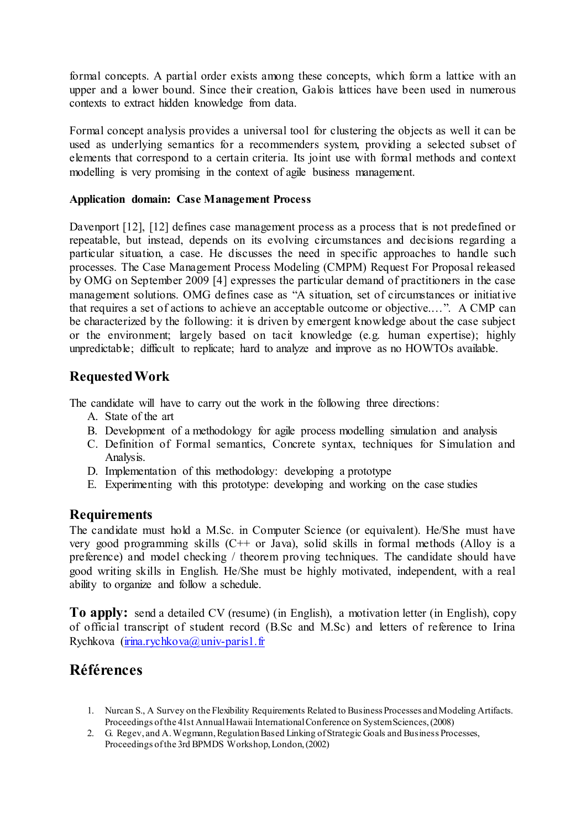formal concepts. A partial order exists among these concepts, which form a lattice with an upper and a lower bound. Since their creation, Galois lattices have been used in numerous contexts to extract hidden knowledge from data.

Formal concept analysis provides a universal tool for clustering the objects as well it can be used as underlying semantics for a recommenders system, providing a selected subset of elements that correspond to a certain criteria. Its joint use with formal methods and context modelling is very promising in the context of agile business management.

#### **Application domain: Case Management Process**

Davenport [\[12\]](#page-4-15), [12] defines case management process as a process that is not predefined or repeatable, but instead, depends on its evolving circumstances and decisions regarding a particular situation, a case. He discusses the need in specific approaches to handle such processes. The Case Management Process Modeling (CMPM) Request For Proposal released by OMG on September 2009 [\[4\]](#page-4-16) expresses the particular demand of practitioners in the case management solutions. OMG defines case as "A situation, set of circumstances or initiative that requires a set of actions to achieve an acceptable outcome or objective.…". A CMP can be characterized by the following: it is driven by emergent knowledge about the case subject or the environment; largely based on tacit knowledge (e.g. human expertise); highly unpredictable; difficult to replicate; hard to analyze and improve as no HOWTOs available.

## **Requested Work**

The candidate will have to carry out the work in the following three directions:

- A. State of the art
- B. Development of a methodology for agile process modelling simulation and analysis
- C. Definition of Formal semantics, Concrete syntax, techniques for Simulation and Analysis.
- D. Implementation of this methodology: developing a prototype
- E. Experimenting with this prototype: developing and working on the case studies

### **Requirements**

The candidate must hold a M.Sc. in Computer Science (or equivalent). He/She must have very good programming skills (C++ or Java), solid skills in formal methods (Alloy is a preference) and model checking / theorem proving techniques. The candidate should have good writing skills in English. He/She must be highly motivated, independent, with a real ability to organize and follow a schedule.

**To apply:** send a detailed CV (resume) (in English), a motivation letter (in English), copy of official transcript of student record (B.Sc and M.Sc) and letters of reference to Irina Rychkova ( $\operatorname{irina.rychkova}(a)$ univ-paris1.fr

## **Références**

- 1. Nurcan S., A Survey on the Flexibility Requirements Related to Business Processes and Modeling Artifacts. Proceedings of the 41st Annual Hawaii International Conference on System Sciences, (2008)
- 2. G. Regev, and A. Wegmann, Regulation Based Linking of Strategic Goals and Business Processes, Proceedings of the 3rd BPMDS Workshop, London, (2002)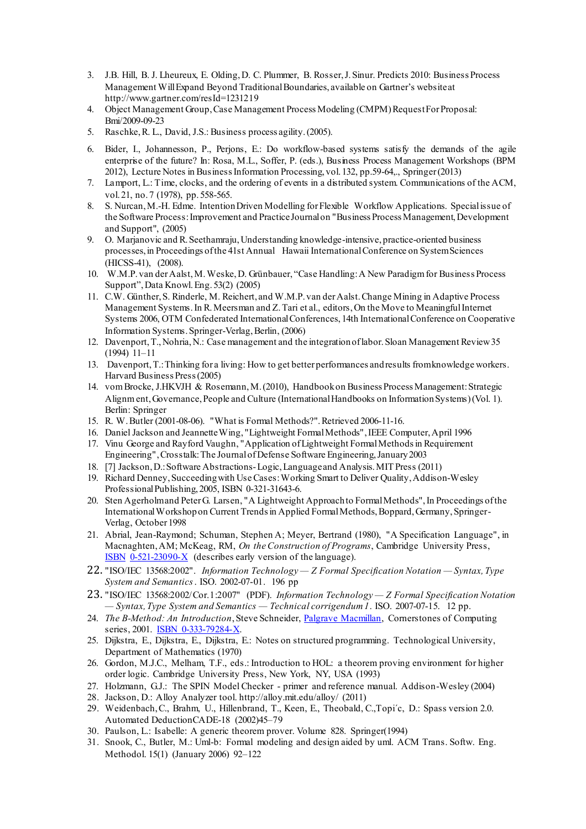- 3. J.B. Hill, B. J. Lheureux, E. Olding, D. C. Plummer, B. Rosser, J. Sinur. Predicts 2010: Business Process Management Will Expand Beyond Traditional Boundaries, available on Gartner's website at <http://www.gartner.com/resId=1231219>
- <span id="page-4-16"></span>4. Object Management Group, Case Management Process Modeling (CMPM) Request For Proposal: Bmi/2009-09-23
- <span id="page-4-0"></span>5. Raschke, R. L., David, J.S.: Business process agility. (2005).
- <span id="page-4-1"></span>6. Bider, I., Johannesson, P., Perjons, E.: Do workflow-based systems satisfy the demands of the agile enterprise of the future? In: Rosa, M.L., Soffer, P. (eds.), Business Process Management Workshops (BPM 2012), Lecture Notes in Business Information Processing, vol. 132, pp.59-64,., Springer (2013)
- 7. Lamport, L.: Time, clocks, and the ordering of events in a distributed system. Communications of the ACM, vol. 21, no. 7 (1978), pp. 558-565.
- <span id="page-4-2"></span>8. S. Nurcan, M.-H. Edme. Intention Driven Modelling for Flexible Workflow Applications. Special issue of the Software Process: Improvement and Practice Journal on "Business Process Management, Development and Support", (2005)
- <span id="page-4-3"></span>9. O. Marjanovic and R. Seethamraju, Understanding knowledge-intensive, practice-oriented business processes, in Proceedings of the 41st Annual Hawaii International Conference on System Sciences (HICSS-41), (2008).
- <span id="page-4-4"></span>10. W.M.P. van der Aalst, M. Weske, D. Grünbauer, "Case Handling: A New Paradigm for Business Process Support", Data Knowl. Eng. 53(2) (2005)
- <span id="page-4-5"></span>11. C.W. Günther, S. Rinderle, M. Reichert, and W.M.P. van der Aalst. Change Mining in Adaptive Process Management Systems. In R. Meersman and Z. Tari et al., editors, On the Move to Meaningful Internet Systems 2006, OTM Confederated International Conferences, 14th International Conference on Cooperative Information Systems. Springer-Verlag, Berlin, (2006)
- <span id="page-4-14"></span>12. Davenport, T., Nohria, N.: Case management and the integration of labor. Sloan Management Review 35 (1994) 11–11
- <span id="page-4-15"></span>13. Davenport, T.: Thinking for a living: How to get better performances and results from knowledge workers. Harvard Business Press (2005)
- 14. vom Brocke, J.HKVJH & Rosemann, M. (2010), [Handbook on Business Process Management: Strategic](http://www.bpm-handbook.com/)  [Alignment, Governance, People and Culture](http://www.bpm-handbook.com/) (International Handbooks on Information Systems) (Vol. 1). Berlin: Springer
- <span id="page-4-6"></span>15. R. W. Butler (2001-08-06). ["What is Formal Methods?".](http://shemesh.larc.nasa.gov/fm/fm-what.html) Retrieved 2006-11-16.
- 16. [Daniel Jackson](http://en.wikipedia.org/wiki/Daniel_Jackson_%28computer_scientist%29) an[d Jeannette Wing](http://en.wikipedia.org/wiki/Jeannette_Wing)[, "Lightweight Formal Methods"](http://people.csail.mit.edu/dnj/publications/ieee96-roundtable.html), IEEE Computer, April 1996
- 17. Vinu George and Rayford Vaughn[, "Application of Lightweight Formal Methods in Requirement](http://www.stsc.hill.af.mil/crosstalk/2003/01/George.html)  [Engineering",](http://www.stsc.hill.af.mil/crosstalk/2003/01/George.html) Crosstalk: The Journal of Defense Software Engineering, January 2003
- <span id="page-4-11"></span>18. [7] Jackson, D.: Software Abstractions-Logic, Language and Analysis. MIT Press (2011)
- 19. Richard Denney, Succeeding with Use Cases: Working Smart to Deliver Quality, Addison-Wesley Professional Publishing, 2005, [ISBN 0-321-31643-6.](http://en.wikipedia.org/wiki/Special:BookSources/0321316436)
- 20. Sten Agerholm and Peter G. Larsen[, "A Lightweight Approach to Formal Methods"](http://home0.inet.tele.dk/pgl/fmtrends98.pdf), In Proceedings of the International Workshop on Current Trends in Applied Formal Methods, Boppard, Germany, Springer-Verlag, October 1998
- <span id="page-4-7"></span>21. Abrial, Jean-Raymond; Schuman, Stephen A; Meyer, Bertrand (1980), "A Specification Language", in Macnaghten, AM; McKeag, RM, *On the Construction of Programs*, Cambridge University Press, **[ISBN](http://en.wikipedia.org/wiki/International_Standard_Book_Number)** [0-521-23090-X](http://en.wikipedia.org/wiki/Special:BookSources/0-521-23090-X) (describes early version of the language).
- <span id="page-4-8"></span>22. "ISO/IEC 13568:2002". *Information Technology — Z Formal Specification Notation — Syntax, Type System and Semantics*. ISO. 2002-07-01. 196 pp
- <span id="page-4-9"></span>23. "ISO/IEC 13568:2002/Cor.1:2007" (PDF). *Information Technology — Z Formal Specification Notation — Syntax, Type System and Semantics — Technical corrigendum 1*. ISO. 2007-07-15. 12 pp.
- <span id="page-4-10"></span>24. *The B-Method: An Introduction*, Steve Schneider, *Palgrave Macmillan*, Cornerstones of Computing series, 2001. **ISBN 0-333-79284-X**.
- <span id="page-4-12"></span>25. Dijkstra, E., Dijkstra, E., Dijkstra, E.: Notes on structured programming. Technological University, Department of Mathematics (1970)
- <span id="page-4-13"></span>26. Gordon, M.J.C., Melham, T.F., eds.: Introduction to HOL: a theorem proving environment for higher order logic. Cambridge University Press, New York, NY, USA (1993)
- 27. Holzmann, G.J.: The SPIN Model Checker primer and reference manual. Addison-Wesley (2004)
- 28. Jackson, D.: Alloy Analyzer tool. http://alloy.mit.edu/alloy/ (2011)
- 29. Weidenbach, C., Brahm, U., Hillenbrand, T., Keen, E., Theobald, C.,Topi´c, D.: Spass version 2.0. Automated DeductionCADE-18 (2002)45–79
- 30. Paulson, L.: Isabelle: A generic theorem prover. Volume 828. Springer(1994)
- 31. Snook, C., Butler, M.: Uml-b: Formal modeling and design aided by uml. ACM Trans. Softw. Eng. Methodol. 15(1) (January 2006) 92–122